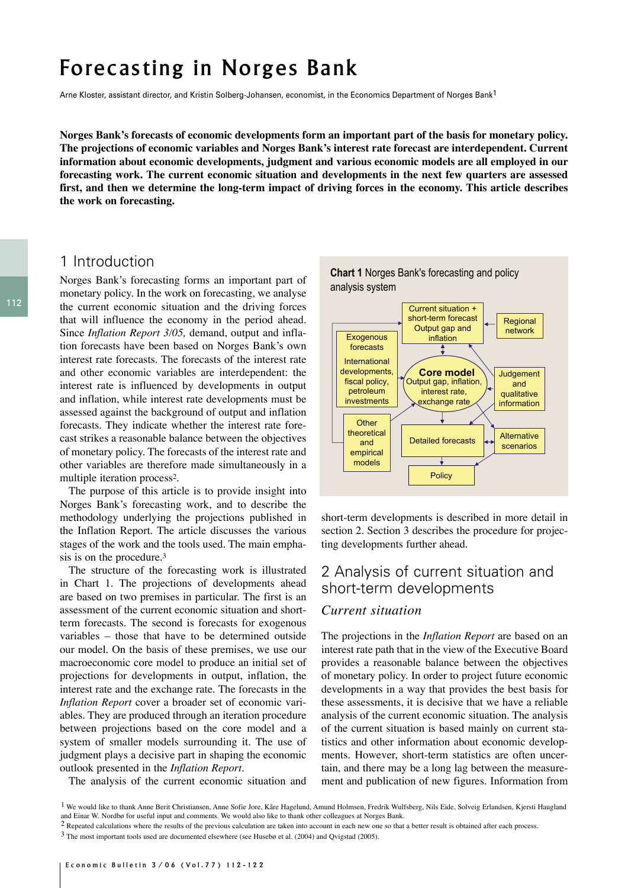# Forecasting in Norges Bank

Arne Kloster, assistant director, and Kristin Solberg-Johansen, economist, in the Economics Department of Norges Bank<sup>1</sup>

**Norges Bank's forecasts of economic developments form an important part of the basis for monetary policy. The projections of economic variables and Norges Bank's interest rate forecast are interdependent. Current information about economic developments, judgment and various economic models are all employed in our forecasting work. The current economic situation and developments in the next few quarters are assessed first, and then we determine the long-term impact of driving forces in the economy. This article describes the work on forecasting.**

## 1 Introduction

Norges Bank's forecasting forms an important part of monetary policy. In the work on forecasting, we analyse the current economic situation and the driving forces that will influence the economy in the period ahead. Since *Inflation Report 3/05,* demand, output and inflation forecasts have been based on Norges Bank's own interest rate forecasts. The forecasts of the interest rate and other economic variables are interdependent: the interest rate is influenced by developments in output and inflation, while interest rate developments must be assessed against the background of output and inflation forecasts. They indicate whether the interest rate forecast strikes a reasonable balance between the objectives of monetary policy. The forecasts of the interest rate and other variables are therefore made simultaneously in a multiple iteration process2.

The purpose of this article is to provide insight into Norges Bank's forecasting work, and to describe the methodology underlying the projections published in the Inflation Report. The article discusses the various stages of the work and the tools used. The main emphasis is on the procedure.3

The structure of the forecasting work is illustrated in Chart 1. The projections of developments ahead are based on two premises in particular. The first is an assessment of the current economic situation and shortterm forecasts. The second is forecasts for exogenous variables – those that have to be determined outside our model. On the basis of these premises, we use our macroeconomic core model to produce an initial set of projections for developments in output, inflation, the interest rate and the exchange rate. The forecasts in the *Inflation Report* cover a broader set of economic variables. They are produced through an iteration procedure between projections based on the core model and a system of smaller models surrounding it. The use of judgment plays a decisive part in shaping the economic outlook presented in the *Inflation Report.*

The analysis of the current economic situation and



short-term developments is described in more detail in section 2. Section 3 describes the procedure for projecting developments further ahead.

# 2 Analysis of current situation and short-term developments

#### *Current situation*

The projections in the *Inflation Report* are based on an interest rate path that in the view of the Executive Board provides a reasonable balance between the objectives of monetary policy. In order to project future economic developments in a way that provides the best basis for these assessments, it is decisive that we have a reliable analysis of the current economic situation. The analysis of the current situation is based mainly on current statistics and other information about economic developments. However, short-term statistics are often uncertain, and there may be a long lag between the measurement and publication of new figures. Information from

<sup>1</sup> We would like to thank Anne Berit Christiansen, Anne Sofie Jore, Kåre Hagelund, Amund Holmsen, Fredrik Wulfsberg, Nils Eide, Solveig Erlandsen, Kjersti Haugland and Einar W. Nordbø for useful input and comments. We would also like to thank other colleagues at Norges Bank.

 $2$  Repeated calculations where the results of the previous calculation are taken into account in each new one so that a better result is obtained after each process.

<sup>3</sup> The most important tools used are documented elsewhere (see Husebø et al. (2004) and Qvigstad (2005).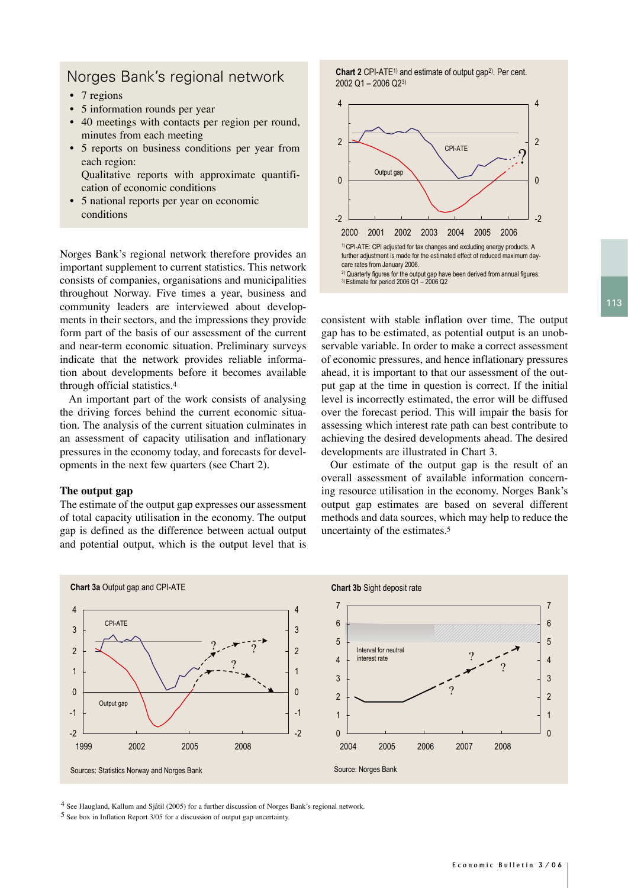# Norges Bank's regional network

- 7 regions
- 5 information rounds per year
- 40 meetings with contacts per region per round, minutes from each meeting
- 5 reports on business conditions per year from each region: Qualitative reports with approximate quantifi
	- cation of economic conditions
- 5 national reports per year on economic conditions

Norges Bank's regional network therefore provides an important supplement to current statistics. This network consists of companies, organisations and municipalities throughout Norway. Five times a year, business and community leaders are interviewed about developments in their sectors, and the impressions they provide form part of the basis of our assessment of the current and near-term economic situation. Preliminary surveys indicate that the network provides reliable information about developments before it becomes available through official statistics.4

An important part of the work consists of analysing the driving forces behind the current economic situation. The analysis of the current situation culminates in an assessment of capacity utilisation and inflationary pressures in the economy today, and forecasts for developments in the next few quarters (see Chart 2).

#### **The output gap**

The estimate of the output gap expresses our assessment of total capacity utilisation in the economy. The output gap is defined as the difference between actual output and potential output, which is the output level that is **Chart 2** CPI-ATE<sup>1</sup>) and estimate of output gap<sup>2</sup>). Per cent. 2002 Q1 – 2006 Q23)



consistent with stable inflation over time. The output gap has to be estimated, as potential output is an unobservable variable. In order to make a correct assessment of economic pressures, and hence inflationary pressures ahead, it is important to that our assessment of the output gap at the time in question is correct. If the initial level is incorrectly estimated, the error will be diffused over the forecast period. This will impair the basis for assessing which interest rate path can best contribute to achieving the desired developments ahead. The desired developments are illustrated in Chart 3.

Our estimate of the output gap is the result of an overall assessment of available information concerning resource utilisation in the economy. Norges Bank's output gap estimates are based on several different methods and data sources, which may help to reduce the uncertainty of the estimates.5



4 See Haugland, Kallum and Sjåtil (2005) for a further discussion of Norges Bank's regional network.

5 See box in Inflation Report 3/05 for a discussion of output gap uncertainty.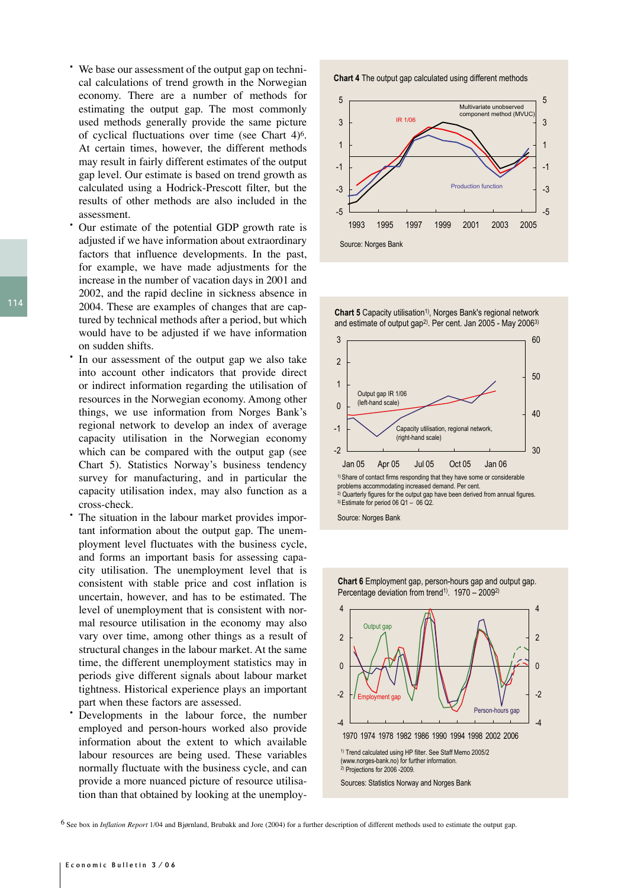- We base our assessment of the output gap on technical calculations of trend growth in the Norwegian economy. There are a number of methods for estimating the output gap. The most commonly used methods generally provide the same picture of cyclical fluctuations over time (see Chart 4)6. At certain times, however, the different methods may result in fairly different estimates of the output gap level. Our estimate is based on trend growth as calculated using a Hodrick-Prescott filter, but the results of other methods are also included in the assessment.
- Our estimate of the potential GDP growth rate is adjusted if we have information about extraordinary factors that influence developments. In the past, for example, we have made adjustments for the increase in the number of vacation days in 2001 and 2002, and the rapid decline in sickness absence in 2004. These are examples of changes that are captured by technical methods after a period, but which would have to be adjusted if we have information on sudden shifts.
- In our assessment of the output gap we also take into account other indicators that provide direct or indirect information regarding the utilisation of resources in the Norwegian economy. Among other things, we use information from Norges Bank's regional network to develop an index of average capacity utilisation in the Norwegian economy which can be compared with the output gap (see Chart 5). Statistics Norway's business tendency survey for manufacturing, and in particular the capacity utilisation index, may also function as a cross-check.
- The situation in the labour market provides important information about the output gap. The unemployment level fluctuates with the business cycle, and forms an important basis for assessing capacity utilisation. The unemployment level that is consistent with stable price and cost inflation is uncertain, however, and has to be estimated. The level of unemployment that is consistent with normal resource utilisation in the economy may also vary over time, among other things as a result of structural changes in the labour market. At the same time, the different unemployment statistics may in periods give different signals about labour market tightness. Historical experience plays an important part when these factors are assessed.
- Developments in the labour force, the number employed and person-hours worked also provide information about the extent to which available labour resources are being used. These variables normally fluctuate with the business cycle, and can provide a more nuanced picture of resource utilisation than that obtained by looking at the unemploy-

**Chart 4** The output gap calculated using different methods



**Chart 5** Capacity utilisation<sup>1)</sup>, Norges Bank's regional network and estimate of output gap<sup>2)</sup>. Per cent. Jan 2005 - May 2006<sup>3)</sup>





6 See box in *Inflation Report* 1/04 and Bjørnland, Brubakk and Jore (2004) for a further description of different methods used to estimate the output gap.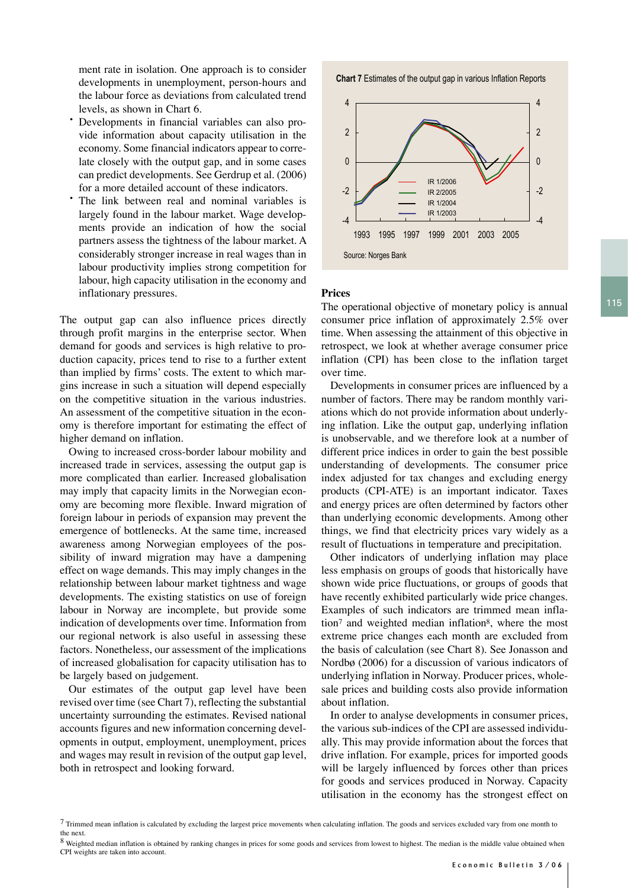115

ment rate in isolation. One approach is to consider developments in unemployment, person-hours and the labour force as deviations from calculated trend levels, as shown in Chart 6.

- Developments in financial variables can also provide information about capacity utilisation in the economy. Some financial indicators appear to correlate closely with the output gap, and in some cases can predict developments. See Gerdrup et al. (2006) for a more detailed account of these indicators.
- The link between real and nominal variables is largely found in the labour market. Wage developments provide an indication of how the social partners assess the tightness of the labour market. A considerably stronger increase in real wages than in labour productivity implies strong competition for labour, high capacity utilisation in the economy and inflationary pressures.

The output gap can also influence prices directly through profit margins in the enterprise sector. When demand for goods and services is high relative to production capacity, prices tend to rise to a further extent than implied by firms' costs. The extent to which margins increase in such a situation will depend especially on the competitive situation in the various industries. An assessment of the competitive situation in the economy is therefore important for estimating the effect of higher demand on inflation.

Owing to increased cross-border labour mobility and increased trade in services, assessing the output gap is more complicated than earlier. Increased globalisation may imply that capacity limits in the Norwegian economy are becoming more flexible. Inward migration of foreign labour in periods of expansion may prevent the emergence of bottlenecks. At the same time, increased awareness among Norwegian employees of the possibility of inward migration may have a dampening effect on wage demands. This may imply changes in the relationship between labour market tightness and wage developments. The existing statistics on use of foreign labour in Norway are incomplete, but provide some indication of developments over time. Information from our regional network is also useful in assessing these factors. Nonetheless, our assessment of the implications of increased globalisation for capacity utilisation has to be largely based on judgement.

Our estimates of the output gap level have been revised over time (see Chart 7), reflecting the substantial uncertainty surrounding the estimates. Revised national accounts figures and new information concerning developments in output, employment, unemployment, prices and wages may result in revision of the output gap level, both in retrospect and looking forward.

**Chart 7** Estimates of the output gap in various Inflation Reports



#### **Prices**

The operational objective of monetary policy is annual consumer price inflation of approximately 2.5% over time. When assessing the attainment of this objective in retrospect, we look at whether average consumer price inflation (CPI) has been close to the inflation target over time.

Developments in consumer prices are influenced by a number of factors. There may be random monthly variations which do not provide information about underlying inflation. Like the output gap, underlying inflation is unobservable, and we therefore look at a number of different price indices in order to gain the best possible understanding of developments. The consumer price index adjusted for tax changes and excluding energy products (CPI-ATE) is an important indicator. Taxes and energy prices are often determined by factors other than underlying economic developments. Among other things, we find that electricity prices vary widely as a result of fluctuations in temperature and precipitation.

Other indicators of underlying inflation may place less emphasis on groups of goods that historically have shown wide price fluctuations, or groups of goods that have recently exhibited particularly wide price changes. Examples of such indicators are trimmed mean inflation7 and weighted median inflation8, where the most extreme price changes each month are excluded from the basis of calculation (see Chart 8). See Jonasson and Nordbø (2006) for a discussion of various indicators of underlying inflation in Norway. Producer prices, wholesale prices and building costs also provide information about inflation.

In order to analyse developments in consumer prices, the various sub-indices of the CPI are assessed individually. This may provide information about the forces that drive inflation. For example, prices for imported goods will be largely influenced by forces other than prices for goods and services produced in Norway. Capacity utilisation in the economy has the strongest effect on

 $7$  Trimmed mean inflation is calculated by excluding the largest price movements when calculating inflation. The goods and services excluded vary from one month to the next.

<sup>8</sup> Weighted median inflation is obtained by ranking changes in prices for some goods and services from lowest to highest. The median is the middle value obtained when CPI weights are taken into account.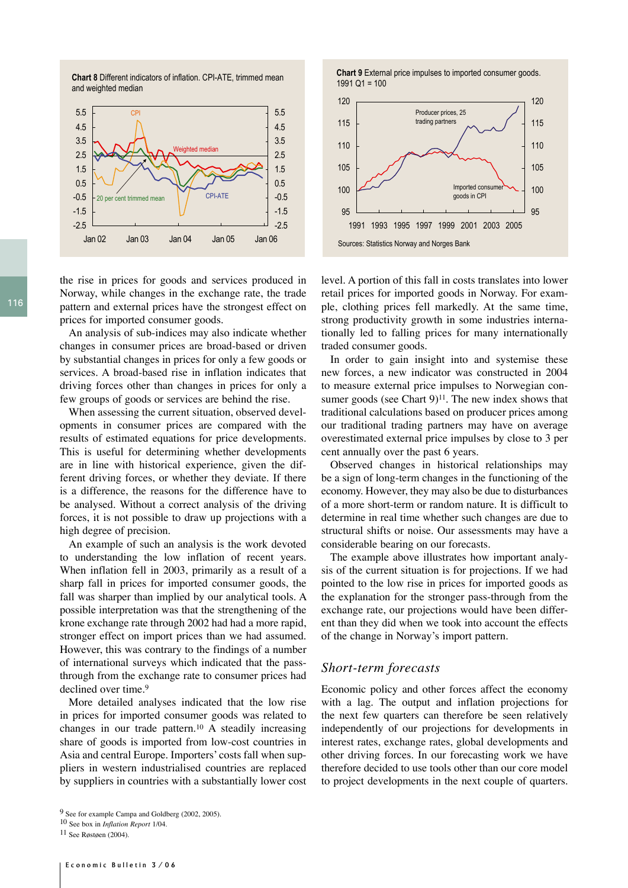**Chart 8** Different indicators of inflation. CPI-ATE, trimmed mean and weighted median



the rise in prices for goods and services produced in Norway, while changes in the exchange rate, the trade pattern and external prices have the strongest effect on prices for imported consumer goods.

An analysis of sub-indices may also indicate whether changes in consumer prices are broad-based or driven by substantial changes in prices for only a few goods or services. A broad-based rise in inflation indicates that driving forces other than changes in prices for only a few groups of goods or services are behind the rise.

When assessing the current situation, observed developments in consumer prices are compared with the results of estimated equations for price developments. This is useful for determining whether developments are in line with historical experience, given the different driving forces, or whether they deviate. If there is a difference, the reasons for the difference have to be analysed. Without a correct analysis of the driving forces, it is not possible to draw up projections with a high degree of precision.

An example of such an analysis is the work devoted to understanding the low inflation of recent years. When inflation fell in 2003, primarily as a result of a sharp fall in prices for imported consumer goods, the fall was sharper than implied by our analytical tools. A possible interpretation was that the strengthening of the krone exchange rate through 2002 had had a more rapid, stronger effect on import prices than we had assumed. However, this was contrary to the findings of a number of international surveys which indicated that the passthrough from the exchange rate to consumer prices had declined over time.<sup>9</sup>

More detailed analyses indicated that the low rise in prices for imported consumer goods was related to changes in our trade pattern.10 A steadily increasing share of goods is imported from low-cost countries in Asia and central Europe. Importers' costs fall when suppliers in western industrialised countries are replaced by suppliers in countries with a substantially lower cost **Chart 9** External price impulses to imported consumer goods. 1991 Q1 = 100



level. A portion of this fall in costs translates into lower retail prices for imported goods in Norway. For example, clothing prices fell markedly. At the same time, strong productivity growth in some industries internationally led to falling prices for many internationally traded consumer goods.

In order to gain insight into and systemise these new forces, a new indicator was constructed in 2004 to measure external price impulses to Norwegian consumer goods (see Chart  $9$ )<sup>11</sup>. The new index shows that traditional calculations based on producer prices among our traditional trading partners may have on average overestimated external price impulses by close to 3 per cent annually over the past 6 years.

Observed changes in historical relationships may be a sign of long-term changes in the functioning of the economy. However, they may also be due to disturbances of a more short-term or random nature. It is difficult to determine in real time whether such changes are due to structural shifts or noise. Our assessments may have a considerable bearing on our forecasts.

The example above illustrates how important analysis of the current situation is for projections. If we had pointed to the low rise in prices for imported goods as the explanation for the stronger pass-through from the exchange rate, our projections would have been different than they did when we took into account the effects of the change in Norway's import pattern.

#### *Short-term forecasts*

Economic policy and other forces affect the economy with a lag. The output and inflation projections for the next few quarters can therefore be seen relatively independently of our projections for developments in interest rates, exchange rates, global developments and other driving forces. In our forecasting work we have therefore decided to use tools other than our core model to project developments in the next couple of quarters.

<sup>9</sup> See for example Campa and Goldberg (2002, 2005).

<sup>10</sup> See box in *Inflation Report* 1/04.

<sup>11</sup> See Røstøen (2004).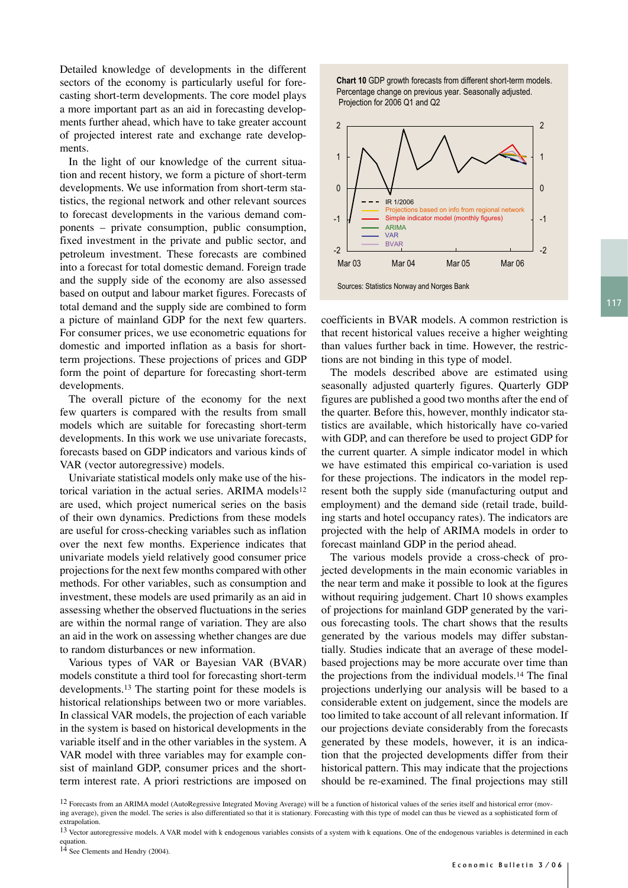117

Detailed knowledge of developments in the different sectors of the economy is particularly useful for forecasting short-term developments. The core model plays a more important part as an aid in forecasting developments further ahead, which have to take greater account of projected interest rate and exchange rate developments.

In the light of our knowledge of the current situation and recent history, we form a picture of short-term developments. We use information from short-term statistics, the regional network and other relevant sources to forecast developments in the various demand components – private consumption, public consumption, fixed investment in the private and public sector, and petroleum investment. These forecasts are combined into a forecast for total domestic demand. Foreign trade and the supply side of the economy are also assessed based on output and labour market figures. Forecasts of total demand and the supply side are combined to form a picture of mainland GDP for the next few quarters. For consumer prices, we use econometric equations for domestic and imported inflation as a basis for shortterm projections. These projections of prices and GDP form the point of departure for forecasting short-term developments.

The overall picture of the economy for the next few quarters is compared with the results from small models which are suitable for forecasting short-term developments. In this work we use univariate forecasts, forecasts based on GDP indicators and various kinds of VAR (vector autoregressive) models.

Univariate statistical models only make use of the historical variation in the actual series. ARIMA models<sup>12</sup> are used, which project numerical series on the basis of their own dynamics. Predictions from these models are useful for cross-checking variables such as inflation over the next few months. Experience indicates that univariate models yield relatively good consumer price projections for the next few months compared with other methods. For other variables, such as consumption and investment, these models are used primarily as an aid in assessing whether the observed fluctuations in the series are within the normal range of variation. They are also an aid in the work on assessing whether changes are due to random disturbances or new information.

Various types of VAR or Bayesian VAR (BVAR) models constitute a third tool for forecasting short-term developments.13 The starting point for these models is historical relationships between two or more variables. In classical VAR models, the projection of each variable in the system is based on historical developments in the variable itself and in the other variables in the system. A VAR model with three variables may for example consist of mainland GDP, consumer prices and the shortterm interest rate. A priori restrictions are imposed on **Chart 10** GDP growth forecasts from different short-term models. Percentage change on previous year. Seasonally adjusted. Projection for 2006 Q1 and Q2



coefficients in BVAR models. A common restriction is that recent historical values receive a higher weighting than values further back in time. However, the restrictions are not binding in this type of model.

The models described above are estimated using seasonally adjusted quarterly figures. Quarterly GDP figures are published a good two months after the end of the quarter. Before this, however, monthly indicator statistics are available, which historically have co-varied with GDP, and can therefore be used to project GDP for the current quarter. A simple indicator model in which we have estimated this empirical co-variation is used for these projections. The indicators in the model represent both the supply side (manufacturing output and employment) and the demand side (retail trade, building starts and hotel occupancy rates). The indicators are projected with the help of ARIMA models in order to forecast mainland GDP in the period ahead.

The various models provide a cross-check of projected developments in the main economic variables in the near term and make it possible to look at the figures without requiring judgement. Chart 10 shows examples of projections for mainland GDP generated by the various forecasting tools. The chart shows that the results generated by the various models may differ substantially. Studies indicate that an average of these modelbased projections may be more accurate over time than the projections from the individual models.14 The final projections underlying our analysis will be based to a considerable extent on judgement, since the models are too limited to take account of all relevant information. If our projections deviate considerably from the forecasts generated by these models, however, it is an indication that the projected developments differ from their historical pattern. This may indicate that the projections should be re-examined. The final projections may still

<sup>&</sup>lt;sup>12</sup> Forecasts from an ARIMA model (AutoRegressive Integrated Moving Average) will be a function of historical values of the series itself and historical error (moving average), given the model. The series is also differentiated so that it is stationary. Forecasting with this type of model can thus be viewed as a sophisticated form of extrapolation.

<sup>&</sup>lt;sup>13</sup> Vector autoregressive models. A VAR model with k endogenous variables consists of a system with k equations. One of the endogenous variables is determined in each equation.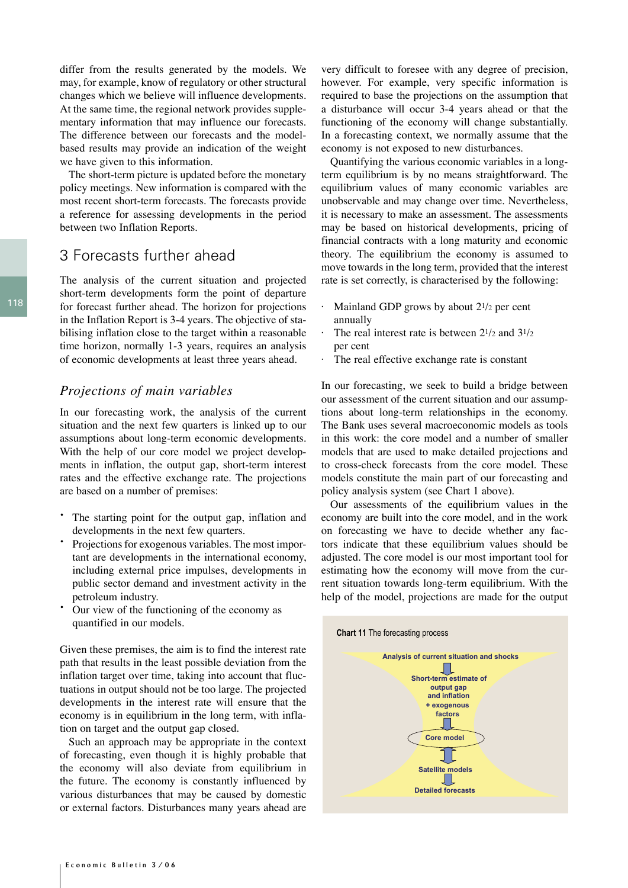differ from the results generated by the models. We may, for example, know of regulatory or other structural changes which we believe will influence developments. At the same time, the regional network provides supplementary information that may influence our forecasts. The difference between our forecasts and the modelbased results may provide an indication of the weight we have given to this information.

The short-term picture is updated before the monetary policy meetings. New information is compared with the most recent short-term forecasts. The forecasts provide a reference for assessing developments in the period between two Inflation Reports.

# 3 Forecasts further ahead

The analysis of the current situation and projected short-term developments form the point of departure for forecast further ahead. The horizon for projections in the Inflation Report is 3-4 years. The objective of stabilising inflation close to the target within a reasonable time horizon, normally 1-3 years, requires an analysis of economic developments at least three years ahead.

#### *Projections of main variables*

In our forecasting work, the analysis of the current situation and the next few quarters is linked up to our assumptions about long-term economic developments. With the help of our core model we project developments in inflation, the output gap, short-term interest rates and the effective exchange rate. The projections are based on a number of premises:

- The starting point for the output gap, inflation and developments in the next few quarters.
- Projections for exogenous variables. The most important are developments in the international economy, including external price impulses, developments in public sector demand and investment activity in the petroleum industry.
- Our view of the functioning of the economy as quantified in our models.

Given these premises, the aim is to find the interest rate path that results in the least possible deviation from the inflation target over time, taking into account that fluctuations in output should not be too large. The projected developments in the interest rate will ensure that the economy is in equilibrium in the long term, with inflation on target and the output gap closed.

Such an approach may be appropriate in the context of forecasting, even though it is highly probable that the economy will also deviate from equilibrium in the future. The economy is constantly influenced by various disturbances that may be caused by domestic or external factors. Disturbances many years ahead are

very difficult to foresee with any degree of precision, however. For example, very specific information is required to base the projections on the assumption that a disturbance will occur 3-4 years ahead or that the functioning of the economy will change substantially. In a forecasting context, we normally assume that the economy is not exposed to new disturbances.

Quantifying the various economic variables in a longterm equilibrium is by no means straightforward. The equilibrium values of many economic variables are unobservable and may change over time. Nevertheless, it is necessary to make an assessment. The assessments may be based on historical developments, pricing of financial contracts with a long maturity and economic theory. The equilibrium the economy is assumed to move towards in the long term, provided that the interest rate is set correctly, is characterised by the following:

- Mainland GDP grows by about  $2^{1/2}$  per cent annually
- $\cdot$  The real interest rate is between 2<sup>1</sup>/<sub>2</sub> and 3<sup>1</sup>/<sub>2</sub> per cent
- The real effective exchange rate is constant

In our forecasting, we seek to build a bridge between our assessment of the current situation and our assumptions about long-term relationships in the economy. The Bank uses several macroeconomic models as tools in this work: the core model and a number of smaller models that are used to make detailed projections and to cross-check forecasts from the core model. These models constitute the main part of our forecasting and policy analysis system (see Chart 1 above).

Our assessments of the equilibrium values in the economy are built into the core model, and in the work on forecasting we have to decide whether any factors indicate that these equilibrium values should be adjusted. The core model is our most important tool for estimating how the economy will move from the current situation towards long-term equilibrium. With the help of the model, projections are made for the output

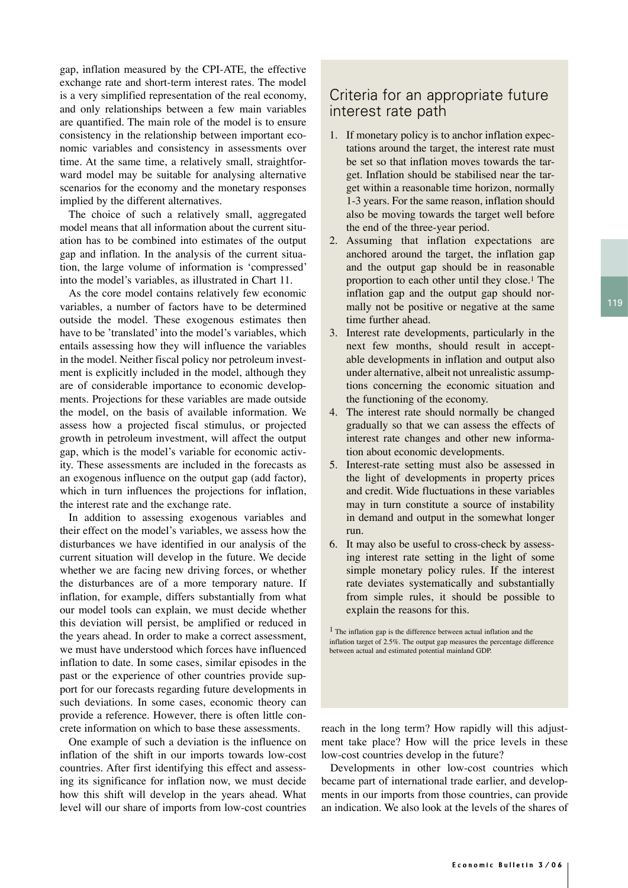gap, inflation measured by the CPI-ATE, the effective exchange rate and short-term interest rates. The model is a very simplified representation of the real economy, and only relationships between a few main variables are quantified. The main role of the model is to ensure consistency in the relationship between important economic variables and consistency in assessments over time. At the same time, a relatively small, straightforward model may be suitable for analysing alternative scenarios for the economy and the monetary responses implied by the different alternatives.

The choice of such a relatively small, aggregated model means that all information about the current situation has to be combined into estimates of the output gap and inflation. In the analysis of the current situation, the large volume of information is 'compressed' into the model's variables, as illustrated in Chart 11.

As the core model contains relatively few economic variables, a number of factors have to be determined outside the model. These exogenous estimates then have to be 'translated' into the model's variables, which entails assessing how they will influence the variables in the model. Neither fiscal policy nor petroleum investment is explicitly included in the model, although they are of considerable importance to economic developments. Projections for these variables are made outside the model, on the basis of available information. We assess how a projected fiscal stimulus, or projected growth in petroleum investment, will affect the output gap, which is the model's variable for economic activity. These assessments are included in the forecasts as an exogenous influence on the output gap (add factor), which in turn influences the projections for inflation, the interest rate and the exchange rate.

In addition to assessing exogenous variables and their effect on the model's variables, we assess how the disturbances we have identified in our analysis of the current situation will develop in the future. We decide whether we are facing new driving forces, or whether the disturbances are of a more temporary nature. If inflation, for example, differs substantially from what our model tools can explain, we must decide whether this deviation will persist, be amplified or reduced in the years ahead. In order to make a correct assessment, we must have understood which forces have influenced inflation to date. In some cases, similar episodes in the past or the experience of other countries provide support for our forecasts regarding future developments in such deviations. In some cases, economic theory can provide a reference. However, there is often little concrete information on which to base these assessments.

One example of such a deviation is the influence on inflation of the shift in our imports towards low-cost countries. After first identifying this effect and assessing its significance for inflation now, we must decide how this shift will develop in the years ahead. What level will our share of imports from low-cost countries

# Criteria for an appropriate future interest rate path

- 1. If monetary policy is to anchor inflation expectations around the target, the interest rate must be set so that inflation moves towards the target. Inflation should be stabilised near the target within a reasonable time horizon, normally 1-3 years. For the same reason, inflation should also be moving towards the target well before the end of the three-year period.
- 2. Assuming that inflation expectations are anchored around the target, the inflation gap and the output gap should be in reasonable proportion to each other until they close.1 The inflation gap and the output gap should normally not be positive or negative at the same time further ahead.
- 3. Interest rate developments, particularly in the next few months, should result in acceptable developments in inflation and output also under alternative, albeit not unrealistic assumptions concerning the economic situation and the functioning of the economy.
- 4. The interest rate should normally be changed gradually so that we can assess the effects of interest rate changes and other new information about economic developments.
- 5. Interest-rate setting must also be assessed in the light of developments in property prices and credit. Wide fluctuations in these variables may in turn constitute a source of instability in demand and output in the somewhat longer run.
- 6. It may also be useful to cross-check by assessing interest rate setting in the light of some simple monetary policy rules. If the interest rate deviates systematically and substantially from simple rules, it should be possible to explain the reasons for this.

1 The inflation gap is the difference between actual inflation and the inflation target of 2.5%. The output gap measures the percentage difference between actual and estimated potential mainland GDP.

reach in the long term? How rapidly will this adjustment take place? How will the price levels in these low-cost countries develop in the future?

Developments in other low-cost countries which became part of international trade earlier, and developments in our imports from those countries, can provide an indication. We also look at the levels of the shares of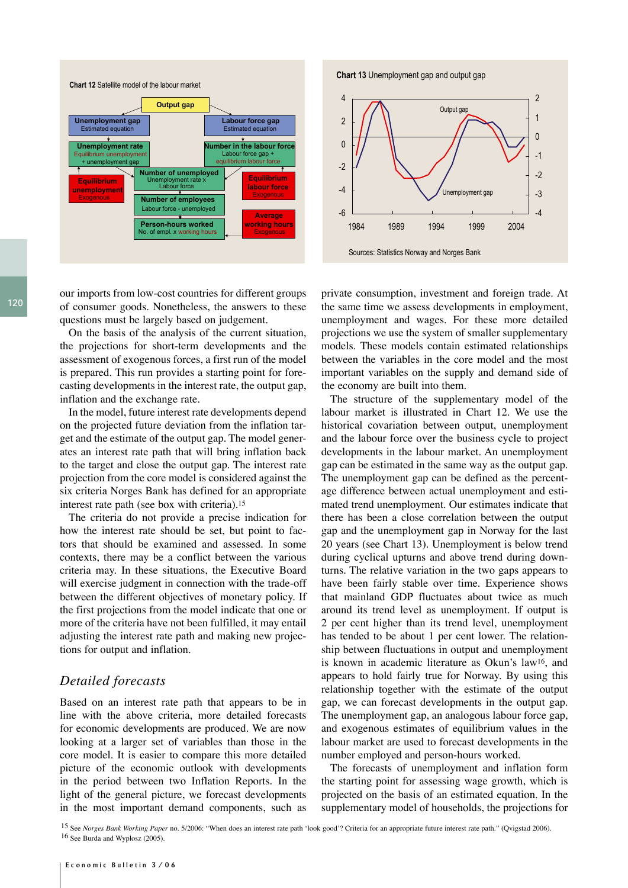![](_page_8_Figure_0.jpeg)

**Chart 13** Unemployment gap and output gap

![](_page_8_Figure_2.jpeg)

our imports from low-cost countries for different groups of consumer goods. Nonetheless, the answers to these questions must be largely based on judgement.

On the basis of the analysis of the current situation, the projections for short-term developments and the assessment of exogenous forces, a first run of the model is prepared. This run provides a starting point for forecasting developments in the interest rate, the output gap, inflation and the exchange rate.

In the model, future interest rate developments depend on the projected future deviation from the inflation target and the estimate of the output gap. The model generates an interest rate path that will bring inflation back to the target and close the output gap. The interest rate projection from the core model is considered against the six criteria Norges Bank has defined for an appropriate interest rate path (see box with criteria).15

The criteria do not provide a precise indication for how the interest rate should be set, but point to factors that should be examined and assessed. In some contexts, there may be a conflict between the various criteria may. In these situations, the Executive Board will exercise judgment in connection with the trade-off between the different objectives of monetary policy. If the first projections from the model indicate that one or more of the criteria have not been fulfilled, it may entail adjusting the interest rate path and making new projections for output and inflation.

#### *Detailed forecasts*

Based on an interest rate path that appears to be in line with the above criteria, more detailed forecasts for economic developments are produced. We are now looking at a larger set of variables than those in the core model. It is easier to compare this more detailed picture of the economic outlook with developments in the period between two Inflation Reports. In the light of the general picture, we forecast developments in the most important demand components, such as private consumption, investment and foreign trade. At the same time we assess developments in employment, unemployment and wages. For these more detailed projections we use the system of smaller supplementary models. These models contain estimated relationships between the variables in the core model and the most important variables on the supply and demand side of the economy are built into them.

The structure of the supplementary model of the labour market is illustrated in Chart 12. We use the historical covariation between output, unemployment and the labour force over the business cycle to project developments in the labour market. An unemployment gap can be estimated in the same way as the output gap. The unemployment gap can be defined as the percentage difference between actual unemployment and estimated trend unemployment. Our estimates indicate that there has been a close correlation between the output gap and the unemployment gap in Norway for the last 20 years (see Chart 13). Unemployment is below trend during cyclical upturns and above trend during downturns. The relative variation in the two gaps appears to have been fairly stable over time. Experience shows that mainland GDP fluctuates about twice as much around its trend level as unemployment. If output is 2 per cent higher than its trend level, unemployment has tended to be about 1 per cent lower. The relationship between fluctuations in output and unemployment is known in academic literature as Okun's law16, and appears to hold fairly true for Norway. By using this relationship together with the estimate of the output gap, we can forecast developments in the output gap. The unemployment gap, an analogous labour force gap, and exogenous estimates of equilibrium values in the labour market are used to forecast developments in the number employed and person-hours worked.

The forecasts of unemployment and inflation form the starting point for assessing wage growth, which is projected on the basis of an estimated equation. In the supplementary model of households, the projections for

15 See *Norges Bank Working Paper* no. 5/2006: "When does an interest rate path 'look good'? Criteria for an appropriate future interest rate path." (Qvigstad 2006). 16 See Burda and Wyplosz (2005).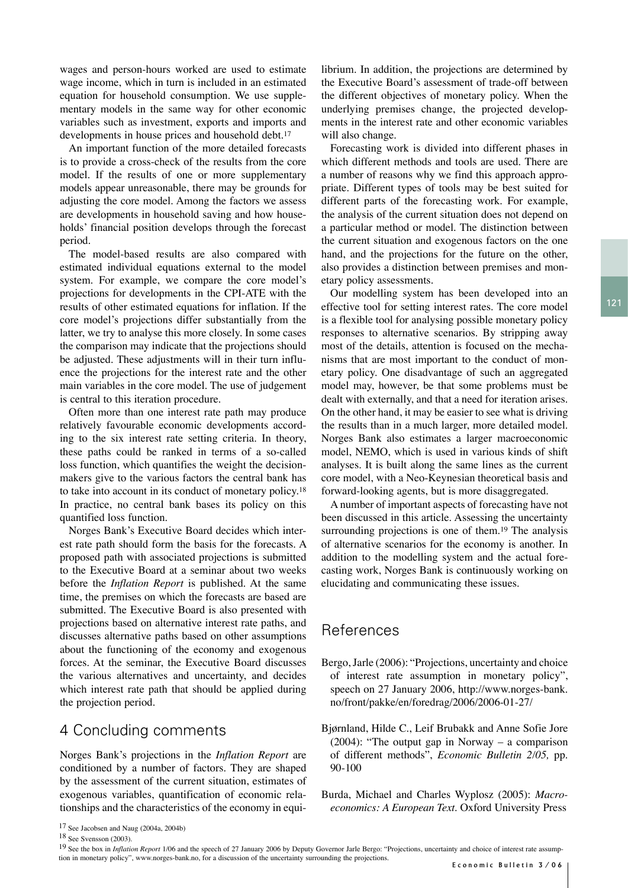wages and person-hours worked are used to estimate wage income, which in turn is included in an estimated equation for household consumption. We use supplementary models in the same way for other economic variables such as investment, exports and imports and developments in house prices and household debt.<sup>17</sup>

An important function of the more detailed forecasts is to provide a cross-check of the results from the core model. If the results of one or more supplementary models appear unreasonable, there may be grounds for adjusting the core model. Among the factors we assess are developments in household saving and how households' financial position develops through the forecast period.

The model-based results are also compared with estimated individual equations external to the model system. For example, we compare the core model's projections for developments in the CPI-ATE with the results of other estimated equations for inflation. If the core model's projections differ substantially from the latter, we try to analyse this more closely. In some cases the comparison may indicate that the projections should be adjusted. These adjustments will in their turn influence the projections for the interest rate and the other main variables in the core model. The use of judgement is central to this iteration procedure.

Often more than one interest rate path may produce relatively favourable economic developments according to the six interest rate setting criteria. In theory, these paths could be ranked in terms of a so-called loss function, which quantifies the weight the decisionmakers give to the various factors the central bank has to take into account in its conduct of monetary policy.18 In practice, no central bank bases its policy on this quantified loss function.

Norges Bank's Executive Board decides which interest rate path should form the basis for the forecasts. A proposed path with associated projections is submitted to the Executive Board at a seminar about two weeks before the *Inflation Report* is published. At the same time, the premises on which the forecasts are based are submitted. The Executive Board is also presented with projections based on alternative interest rate paths, and discusses alternative paths based on other assumptions about the functioning of the economy and exogenous forces. At the seminar, the Executive Board discusses the various alternatives and uncertainty, and decides which interest rate path that should be applied during the projection period.

### 4 Concluding comments

Norges Bank's projections in the *Inflation Report* are conditioned by a number of factors. They are shaped by the assessment of the current situation, estimates of exogenous variables, quantification of economic relationships and the characteristics of the economy in equi-

Forecasting work is divided into different phases in which different methods and tools are used. There are a number of reasons why we find this approach appropriate. Different types of tools may be best suited for different parts of the forecasting work. For example, the analysis of the current situation does not depend on a particular method or model. The distinction between the current situation and exogenous factors on the one hand, and the projections for the future on the other, also provides a distinction between premises and monetary policy assessments.

Our modelling system has been developed into an effective tool for setting interest rates. The core model is a flexible tool for analysing possible monetary policy responses to alternative scenarios. By stripping away most of the details, attention is focused on the mechanisms that are most important to the conduct of monetary policy. One disadvantage of such an aggregated model may, however, be that some problems must be dealt with externally, and that a need for iteration arises. On the other hand, it may be easier to see what is driving the results than in a much larger, more detailed model. Norges Bank also estimates a larger macroeconomic model, NEMO, which is used in various kinds of shift analyses. It is built along the same lines as the current core model, with a Neo-Keynesian theoretical basis and forward-looking agents, but is more disaggregated.

A number of important aspects of forecasting have not been discussed in this article. Assessing the uncertainty surrounding projections is one of them.<sup>19</sup> The analysis of alternative scenarios for the economy is another. In addition to the modelling system and the actual forecasting work, Norges Bank is continuously working on elucidating and communicating these issues.

# References

- Bergo, Jarle (2006): "Projections, uncertainty and choice of interest rate assumption in monetary policy", speech on 27 January 2006, http://www.norges-bank. no/front/pakke/en/foredrag/2006/2006-01-27/
- Bjørnland, Hilde C., Leif Brubakk and Anne Sofie Jore (2004): "The output gap in Norway – a comparison of different methods", *Economic Bulletin 2/05,* pp. 90-100
- Burda, Michael and Charles Wyplosz (2005): *Macroeconomics: A European Text.* Oxford University Press

librium. In addition, the projections are determined by the Executive Board's assessment of trade-off between the different objectives of monetary policy. When the underlying premises change, the projected developments in the interest rate and other economic variables will also change.

<sup>17</sup> See Jacobsen and Naug (2004a, 2004b)

<sup>18</sup> See Svensson (2003).

<sup>&</sup>lt;sup>19</sup> See the box in *Inflation Report* 1/06 and the speech of 27 January 2006 by Deputy Governor Jarle Bergo: "Projections, uncertainty and choice of interest rate assump tion in monetary policy", www.norges-bank.no, for a discussion of the uncertainty surrounding the projections.